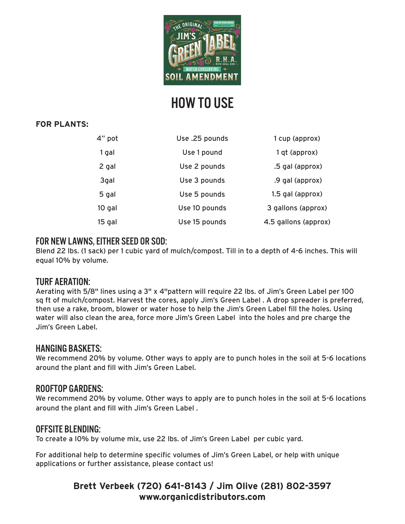

# HOW TO USE

### **FOR PLANTS:**

| 4" pot | Use .25 pounds | 1 cup (approx)       |
|--------|----------------|----------------------|
| 1 gal  | Use 1 pound    | 1 qt (approx)        |
| 2 gal  | Use 2 pounds   | .5 gal (approx)      |
| 3gal   | Use 3 pounds   | .9 gal (approx)      |
| 5 gal  | Use 5 pounds   | 1.5 gal (approx)     |
| 10 gal | Use 10 pounds  | 3 gallons (approx)   |
| 15 gal | Use 15 pounds  | 4.5 gallons (approx) |

## FOR NEW LAWNS, EITHER SEED OR SOD:

Blend 22 lbs. (1 sack) per 1 cubic yard of mulch/compost. Till in to a depth of 4-6 inches. This will equal 10% by volume.

### TURF AERATION:

Aerating with 5/8" lines using a 3" x 4"pattern will require 22 lbs. of Jim's Green Label per 100 sq ft of mulch/compost. Harvest the cores, apply Jim's Green Label . A drop spreader is preferred, then use a rake, broom, blower or water hose to help the Jim's Green Label fill the holes. Using water will also clean the area, force more Jim's Green Label into the holes and pre charge the Jim's Green Label.

### HANGING BASKETS:

We recommend 20% by volume. Other ways to apply are to punch holes in the soil at 5-6 locations around the plant and fill with Jim's Green Label.

### ROOFTOP GARDENS:

We recommend 20% by volume. Other ways to apply are to punch holes in the soil at 5-6 locations around the plant and fill with Jim's Green Label .

### OFFSITE BLENDING:

To create a I0% by volume mix, use 22 lbs. of Jim's Green Label per cubic yard.

For additional help to determine specific volumes of Jim's Green Label, or help with unique applications or further assistance, please contact us!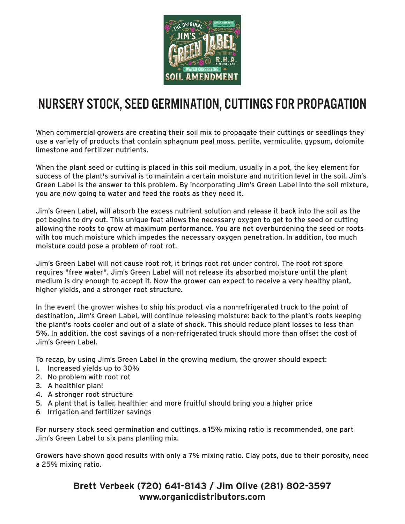

## NURSERY STOCK, SEED GERMINATION, CUTTINGS FOR PROPAGATION

When commercial growers are creating their soil mix to propagate their cuttings or seedlings they use a variety of products that contain sphagnum peal moss. perlite, vermiculite. gypsum, dolomite limestone and fertilizer nutrients.

When the plant seed or cutting is placed in this soil medium, usually in a pot, the key element for success of the plant's survival is to maintain a certain moisture and nutrition level in the soil. Jim's Green Label is the answer to this problem. By incorporating Jim's Green Label into the soil mixture, you are now going to water and feed the roots as they need it.

Jim's Green Label, will absorb the excess nutrient solution and release it back into the soil as the pot begins to dry out. This unique feat allows the necessary oxygen to get to the seed or cutting allowing the roots to grow at maximum performance. You are not overburdening the seed or roots wi1h too much moisture which impedes the necessary oxygen penetration. In addition, too much moisture could pose a problem of root rot.

Jim's Green Label will not cause root rot, it brings root rot under control. The root rot spore requires "free water". Jim's Green Label will not release its absorbed moisture until the plant medium is dry enough to accept it. Now the grower can expect to receive a very healthy plant, higher yields, and a stronger root structure.

In the event the grower wishes to ship his product via a non-refrigerated truck to the point of destination, Jim's Green Label, will continue releasing moisture: back to the plant's roots keeping the plant's roots cooler and out of a slate of shock. This should reduce plant losses to less than 5%. In addition. the cost savings of a non-refrigerated truck should more than offset the cost of Jim's Green Label.

To recap, by using Jim's Green Label in the growing medium, the grower should expect:

- I. Increased yields up to 30%
- 2. No problem with root rot
- 3. A healthier plan!
- 4. A stronger root structure
- 5. A plant that is taller, healthier and more fruitful should bring you a higher price
- 6 Irrigation and fertilizer savings

For nursery stock seed germination and cuttings, a 15% mixing ratio is recommended, one part Jim's Green Label to six pans planting mix.

Growers have shown good results with only a 7% mixing ratio. Clay pots, due to their porosity, need a 25% mixing ratio.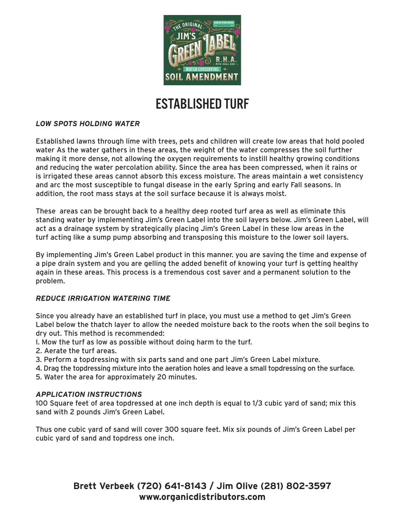

## ESTABLISHED TURF

#### *LOW SPOTS HOLDING WATER*

Established lawns through lime with trees, pets and children will create low areas that hold pooled water As the water gathers in these areas, the weight of the water compresses the soil further making it more dense, not allowing the oxygen requirements to instill healthy growing conditions and reducing the water percolation ability. Since the area has been compressed, when it rains or is irrigated these areas cannot absorb this excess moisture. The areas maintain a wet consistency and arc the most susceptible to fungal disease in the early Spring and early Fall seasons. In addition, the root mass stays at the soil surface because it is always moist.

These areas can be brought back to a healthy deep rooted turf area as well as eliminate this standing water by implementing Jim's Green Label into the soil layers below. Jim's Green Label, will act as a drainage system by strategically placing Jim's Green Label in these low areas in the turf acting like a sump pump absorbing and transposing this moisture to the lower soil layers.

By implementing Jim's Green Label product in this manner. you are saving the time and expense of a pipe drain system and you are gelling the added benefit of knowing your turf is getting healthy again in these areas. This process is a tremendous cost saver and a permanent solution to the problem.

#### *REDUCE IRRIGATION WATERING TIME*

Since you already have an established turf in place, you must use a method to get Jim's Green Label below the thatch layer to allow the needed moisture back to the roots when the soil begins to dry out. This method is recommended:

- I. Mow the turf as low as possible without doing harm to the turf.
- 2. Aerate the turf areas.
- 3. Perform a topdressing with six parts sand and one part Jim's Green Label mixture.
- 4. Drag the topdressing mixture into the aeration holes and leave a small topdressing on the surface.
- 5. Water the area for approximately 20 minutes.

#### *APPLICATION INSTRUCTIONS*

100 Square feet of area topdressed at one inch depth is equal to 1/3 cubic yard of sand; mix this sand with 2 pounds Jim's Green Label.

Thus one cubic yard of sand will cover 300 square feet. Mix six pounds of Jim's Green Label per cubic yard of sand and topdress one inch.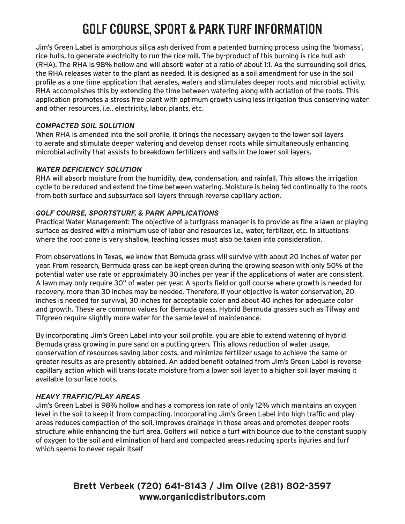# GOLF COURSE, SPORT & PARK TURF INFORMATION

Jim's Green Label is amorphous silica ash derived from a patented burning process using the 'biomass', rice hulls, to generate electricity to run the rice mill. The by-product of this burning is rice hull ash (RHA). The RHA is 98% hollow and will absorb water at a ratio of about 1:1. As the surrounding soil dries, the RHA releases water to the plant as needed. It is designed as a soil amendment for use in the soil profile as a one time application that aerates, waters and stimulates deeper roots and microbial activity. RHA accomplishes this by extending the time between watering along with acriation of the roots. This application promotes a stress free plant with optimum growth using less irrigation thus conserving water and other resources, i.e.. electricity, labor, plants, etc.

#### *COMPACTED SOIL SOLUTION*

When RHA is amended into the soil profile, it brings the necessary oxygen to the lower soil layers to aerate and stimulate deeper watering and develop denser roots while simultaneously enhancing microbial activity that assists to breakdown fertilizers and salts in the lower soil layers.

#### *WATER DEFICIENCY SOLUTION*

RHA will absorb moisture from the humidity, dew, condensation, and rainfall. This allows the irrigation cycle to be reduced and extend the time between watering. Moisture is being fed continually to the roots from both surface and subsurface soil layers through reverse capillary action.

#### *GOLF COURSE, SPORTSTURF, & PARK APPLICATIONS*

Practical Water Management: The objective of a turfgrass manager is to provide as fine a lawn or playing surface as desired with a minimum use of labor and resources i.e., water, fertilizer, etc. In situations where the root-zone is very shallow, leaching losses must also be taken into consideration.

From observations in Texas, we know that Bemuda grass will survive with about 20 inches of water per year. From research, Bermuda grass can be kept green during the growing season with only 50% of the potential water use rate or approximately 30 inches per year if the applications of water are consistent. A lawn may only require 30" of water per year. A sports field or golf course where growth is needed for recovery, more than 30 inches may be needed. Therefore, if your objective is water conservation, 20 inches is needed for survival, 30 inches for acceptable color and about 40 inches for adequate color and growth. These are common values for Bemuda grass. Hybrid Bermuda grasses such as Tifway and Tifgreen require slightly more water for the same level of maintenance.

By incorporating Jim's Green Label into your soil profile. you are able to extend watering of hybrid Bemuda grass growing in pure sand on a putting green. This allows reduction of water usage, conservation of resources saving labor costs. and minimize fertilizer usage to achieve the same or greater results as are presently obtained. An added benefit obtained from Jim's Green Label is reverse capillary action which will trans-locate moisture from a lower soil layer to a higher soil layer making it available to surface roots.

#### *HEAVY TRAFFIC/PLAY AREAS*

Jim's Green Label is 98% hollow and has a compress ion rate of only 12% which maintains an oxygen level in the soil to keep it from compacting. Incorporating Jim's Green Label into high traffic and play areas reduces compaction of the soil, improves drainage in those areas and promotes deeper roots structure while enhancing the turf area. Golfers will notice a turf with bounce due to the constant supply of oxygen to the soil and elimination of hard and compacted areas reducing sports injuries and turf which seems to never repair itself